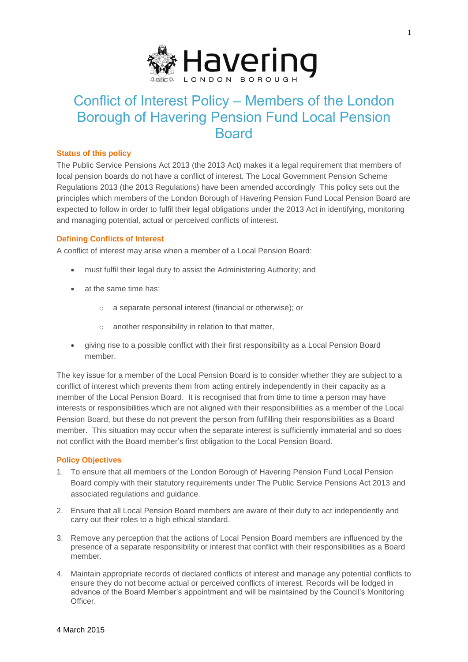

# Conflict of Interest Policy – Members of the London Borough of Havering Pension Fund Local Pension Board

#### **Status of this policy**

The Public Service Pensions Act 2013 (the 2013 Act) makes it a legal requirement that members of local pension boards do not have a conflict of interest. The Local Government Pension Scheme Regulations 2013 (the 2013 Regulations) have been amended accordingly This policy sets out the principles which members of the London Borough of Havering Pension Fund Local Pension Board are expected to follow in order to fulfil their legal obligations under the 2013 Act in identifying, monitoring and managing potential, actual or perceived conflicts of interest.

# **Defining Conflicts of Interest**

A conflict of interest may arise when a member of a Local Pension Board:

- must fulfil their legal duty to assist the Administering Authority; and
- at the same time has:
	- o a separate personal interest (financial or otherwise); or
	- o another responsibility in relation to that matter,
- giving rise to a possible conflict with their first responsibility as a Local Pension Board member.

The key issue for a member of the Local Pension Board is to consider whether they are subject to a conflict of interest which prevents them from acting entirely independently in their capacity as a member of the Local Pension Board. It is recognised that from time to time a person may have interests or responsibilities which are not aligned with their responsibilities as a member of the Local Pension Board, but these do not prevent the person from fulfilling their responsibilities as a Board member. This situation may occur when the separate interest is sufficiently immaterial and so does not conflict with the Board member's first obligation to the Local Pension Board.

# **Policy Objectives**

- 1. To ensure that all members of the London Borough of Havering Pension Fund Local Pension Board comply with their statutory requirements under The Public Service Pensions Act 2013 and associated regulations and guidance.
- 2. Ensure that all Local Pension Board members are aware of their duty to act independently and carry out their roles to a high ethical standard.
- 3. Remove any perception that the actions of Local Pension Board members are influenced by the presence of a separate responsibility or interest that conflict with their responsibilities as a Board member.
- 4. Maintain appropriate records of declared conflicts of interest and manage any potential conflicts to ensure they do not become actual or perceived conflicts of interest. Records will be lodged in advance of the Board Member's appointment and will be maintained by the Council's Monitoring Officer.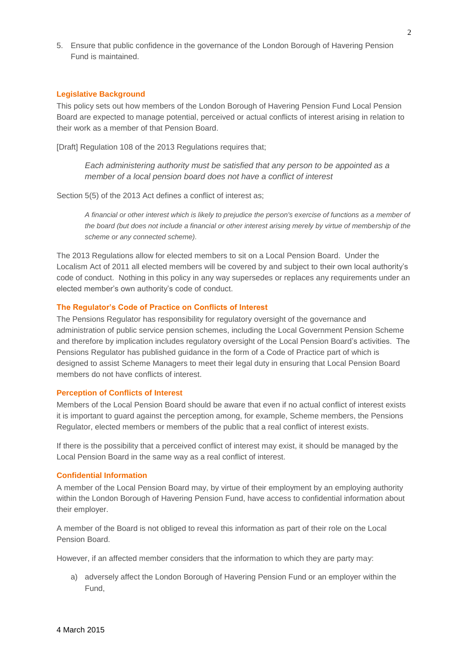5. Ensure that public confidence in the governance of the London Borough of Havering Pension Fund is maintained.

#### **Legislative Background**

This policy sets out how members of the London Borough of Havering Pension Fund Local Pension Board are expected to manage potential, perceived or actual conflicts of interest arising in relation to their work as a member of that Pension Board.

[Draft] Regulation 108 of the 2013 Regulations requires that;

*Each administering authority must be satisfied that any person to be appointed as a member of a local pension board does not have a conflict of interest*

Section 5(5) of the 2013 Act defines a conflict of interest as;

*A financial or other interest which is likely to prejudice the person's exercise of functions as a member of the board (but does not include a financial or other interest arising merely by virtue of membership of the scheme or any connected scheme).*

The 2013 Regulations allow for elected members to sit on a Local Pension Board. Under the Localism Act of 2011 all elected members will be covered by and subject to their own local authority's code of conduct. Nothing in this policy in any way supersedes or replaces any requirements under an elected member's own authority's code of conduct.

#### **The Regulator's Code of Practice on Conflicts of Interest**

The Pensions Regulator has responsibility for regulatory oversight of the governance and administration of public service pension schemes, including the Local Government Pension Scheme and therefore by implication includes regulatory oversight of the Local Pension Board's activities. The Pensions Regulator has published guidance in the form of a Code of Practice part of which is designed to assist Scheme Managers to meet their legal duty in ensuring that Local Pension Board members do not have conflicts of interest.

#### **Perception of Conflicts of Interest**

Members of the Local Pension Board should be aware that even if no actual conflict of interest exists it is important to guard against the perception among, for example, Scheme members, the Pensions Regulator, elected members or members of the public that a real conflict of interest exists.

If there is the possibility that a perceived conflict of interest may exist, it should be managed by the Local Pension Board in the same way as a real conflict of interest.

### **Confidential Information**

A member of the Local Pension Board may, by virtue of their employment by an employing authority within the London Borough of Havering Pension Fund, have access to confidential information about their employer.

A member of the Board is not obliged to reveal this information as part of their role on the Local Pension Board.

However, if an affected member considers that the information to which they are party may:

a) adversely affect the London Borough of Havering Pension Fund or an employer within the Fund,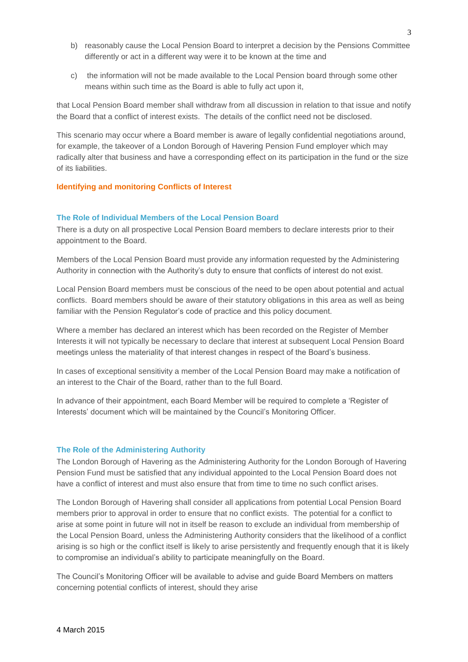- b) reasonably cause the Local Pension Board to interpret a decision by the Pensions Committee differently or act in a different way were it to be known at the time and
- c) the information will not be made available to the Local Pension board through some other means within such time as the Board is able to fully act upon it,

that Local Pension Board member shall withdraw from all discussion in relation to that issue and notify the Board that a conflict of interest exists. The details of the conflict need not be disclosed.

This scenario may occur where a Board member is aware of legally confidential negotiations around, for example, the takeover of a London Borough of Havering Pension Fund employer which may radically alter that business and have a corresponding effect on its participation in the fund or the size of its liabilities.

#### **Identifying and monitoring Conflicts of Interest**

#### **The Role of Individual Members of the Local Pension Board**

There is a duty on all prospective Local Pension Board members to declare interests prior to their appointment to the Board.

Members of the Local Pension Board must provide any information requested by the Administering Authority in connection with the Authority's duty to ensure that conflicts of interest do not exist.

Local Pension Board members must be conscious of the need to be open about potential and actual conflicts. Board members should be aware of their statutory obligations in this area as well as being familiar with the Pension Regulator's code of practice and this policy document.

Where a member has declared an interest which has been recorded on the Register of Member Interests it will not typically be necessary to declare that interest at subsequent Local Pension Board meetings unless the materiality of that interest changes in respect of the Board's business.

In cases of exceptional sensitivity a member of the Local Pension Board may make a notification of an interest to the Chair of the Board, rather than to the full Board.

In advance of their appointment, each Board Member will be required to complete a 'Register of Interests' document which will be maintained by the Council's Monitoring Officer.

#### **The Role of the Administering Authority**

The London Borough of Havering as the Administering Authority for the London Borough of Havering Pension Fund must be satisfied that any individual appointed to the Local Pension Board does not have a conflict of interest and must also ensure that from time to time no such conflict arises.

The London Borough of Havering shall consider all applications from potential Local Pension Board members prior to approval in order to ensure that no conflict exists. The potential for a conflict to arise at some point in future will not in itself be reason to exclude an individual from membership of the Local Pension Board, unless the Administering Authority considers that the likelihood of a conflict arising is so high or the conflict itself is likely to arise persistently and frequently enough that it is likely to compromise an individual's ability to participate meaningfully on the Board.

The Council's Monitoring Officer will be available to advise and guide Board Members on matters concerning potential conflicts of interest, should they arise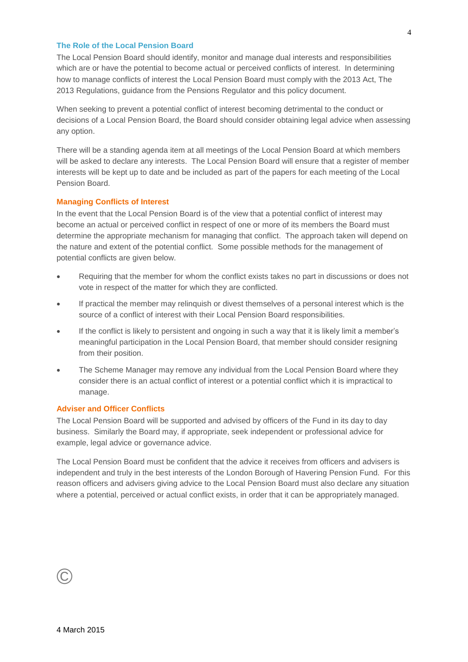#### **The Role of the Local Pension Board**

The Local Pension Board should identify, monitor and manage dual interests and responsibilities which are or have the potential to become actual or perceived conflicts of interest. In determining how to manage conflicts of interest the Local Pension Board must comply with the 2013 Act, The 2013 Regulations, guidance from the Pensions Regulator and this policy document.

When seeking to prevent a potential conflict of interest becoming detrimental to the conduct or decisions of a Local Pension Board, the Board should consider obtaining legal advice when assessing any option.

There will be a standing agenda item at all meetings of the Local Pension Board at which members will be asked to declare any interests. The Local Pension Board will ensure that a register of member interests will be kept up to date and be included as part of the papers for each meeting of the Local Pension Board.

#### **Managing Conflicts of Interest**

In the event that the Local Pension Board is of the view that a potential conflict of interest may become an actual or perceived conflict in respect of one or more of its members the Board must determine the appropriate mechanism for managing that conflict. The approach taken will depend on the nature and extent of the potential conflict. Some possible methods for the management of potential conflicts are given below.

- Requiring that the member for whom the conflict exists takes no part in discussions or does not vote in respect of the matter for which they are conflicted.
- If practical the member may relinquish or divest themselves of a personal interest which is the source of a conflict of interest with their Local Pension Board responsibilities.
- If the conflict is likely to persistent and ongoing in such a way that it is likely limit a member's meaningful participation in the Local Pension Board, that member should consider resigning from their position.
- The Scheme Manager may remove any individual from the Local Pension Board where they consider there is an actual conflict of interest or a potential conflict which it is impractical to manage.

#### **Adviser and Officer Conflicts**

The Local Pension Board will be supported and advised by officers of the Fund in its day to day business. Similarly the Board may, if appropriate, seek independent or professional advice for example, legal advice or governance advice.

The Local Pension Board must be confident that the advice it receives from officers and advisers is independent and truly in the best interests of the London Borough of Havering Pension Fund. For this reason officers and advisers giving advice to the Local Pension Board must also declare any situation where a potential, perceived or actual conflict exists, in order that it can be appropriately managed.

# ©